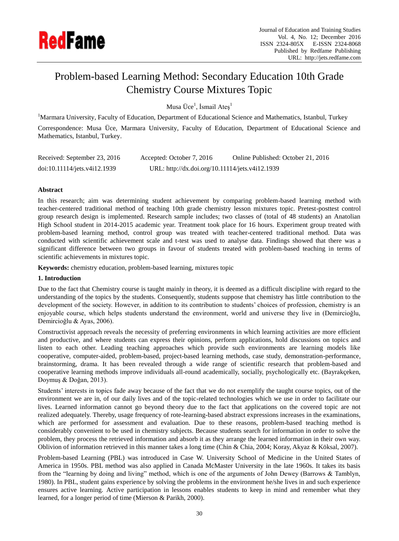

# Problem-based Learning Method: Secondary Education 10th Grade Chemistry Course Mixtures Topic

Musa Üce<sup>1</sup>, İsmail Ateş<sup>1</sup>

<sup>1</sup>Marmara University, Faculty of Education, Department of Educational Science and Mathematics, Istanbul, Turkey Correspondence: Musa Üce, Marmara University, Faculty of Education, Department of Educational Science and Mathematics, Istanbul, Turkey.

| Received: September 23, 2016 | Accepted: October 7, 2016                       | Online Published: October 21, 2016 |
|------------------------------|-------------------------------------------------|------------------------------------|
| doi:10.11114/jets.v4i12.1939 | URL: http://dx.doi.org/10.11114/jets.v4i12.1939 |                                    |

## **Abstract**

In this research; aim was determining student achievement by comparing problem-based learning method with teacher-centered traditional method of teaching 10th grade chemistry lesson mixtures topic. Pretest-posttest control group research design is implemented. Research sample includes; two classes of (total of 48 students) an Anatolian High School student in 2014-2015 academic year. Treatment took place for 16 hours. Experiment group treated with problem-based learning method, control group was treated with teacher-centered traditional method. Data was conducted with scientific achievement scale and t-test was used to analyse data. Findings showed that there was a significant difference between two groups in favour of students treated with problem-based teaching in terms of scientific achievements in mixtures topic.

**Keywords:** chemistry education, problem-based learning, mixtures topic

## **1. Introduction**

Due to the fact that Chemistry course is taught mainly in theory, it is deemed as a difficult discipline with regard to the understanding of the topics by the students. Consequently, students suppose that chemistry has little contribution to the development of the society. However, in addition to its contribution to students' choices of profession, chemistry is an enjoyable course, which helps students understand the environment, world and universe they live in (Demircioğlu, Demircioğlu & Ayas, 2006).

Constructivist approach reveals the necessity of preferring environments in which learning activities are more efficient and productive, and where students can express their opinions, perform applications, hold discussions on topics and listen to each other. Leading teaching approaches which provide such environments are learning models like cooperative, computer-aided, problem-based, project-based learning methods, case study, demonstration-performance, brainstorming, drama. It has been revealed through a wide range of scientific research that problem-based and cooperative learning methods improve individuals all-round academically, socially, psychologically etc. (Bayrakçeken, Doymuş & Doğan, 2013).

Students' interests in topics fade away because of the fact that we do not exemplify the taught course topics, out of the environment we are in, of our daily lives and of the topic-related technologies which we use in order to facilitate our lives. Learned information cannot go beyond theory due to the fact that applications on the covered topic are not realized adequately. Thereby, usage frequency of rote-learning-based abstract expressions increases in the examinations, which are performed for assessment and evaluation. Due to these reasons, problem-based teaching method is considerably convenient to be used in chemistry subjects. Because students search for information in order to solve the problem, they process the retrieved information and absorb it as they arrange the learned information in their own way. Oblivion of information retrieved in this manner takes a long time (Chin & Chia, 2004; Koray, Akyaz & Köksal, 2007).

Problem-based Learning (PBL) was introduced in Case W. University School of Medicine in the United States of America in 1950s. PBL method was also applied in Canada McMaster University in the late 1960s. It takes its basis from the "learning by doing and living" method, which is one of the arguments of John Dewey (Barrows & Tamblyn, 1980). In PBL, student gains experience by solving the problems in the environment he/she lives in and such experience ensures active learning. Active participation in lessons enables students to keep in mind and remember what they learned, for a longer period of time (Mierson & Parikh, 2000).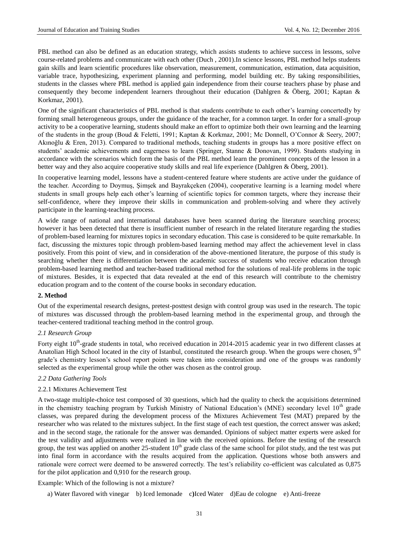PBL method can also be defined as an education strategy, which assists students to achieve success in lessons, solve course-related problems and communicate with each other (Duch , 2001).In science lessons, PBL method helps students gain skills and learn scientific procedures like observation, measurement, communication, estimation, data acquisition, variable trace, hypothesizing, experiment planning and performing, model building etc. By taking responsibilities, students in the classes where PBL method is applied gain independence from their course teachers phase by phase and consequently they become independent learners throughout their education (Dahlgren & Öberg, 2001; Kaptan & Korkmaz, 2001).

One of the significant characteristics of PBL method is that students contribute to each other's learning concertedly by forming small heterogeneous groups, under the guidance of the teacher, for a common target. In order for a small-group activity to be a cooperative learning, students should make an effort to optimize both their own learning and the learning of the students in the group (Boud & Feletti, 1991; Kaptan & Korkmaz, 2001; Mc Donnell, O'Connor & Seery, 2007; Akınoğlu & Eren, 2013). Compared to traditional methods, teaching students in groups has a more positive effect on students' academic achievements and eagerness to learn (Springer, Stanne & Donovan, 1999). Students studying in accordance with the scenarios which form the basis of the PBL method learn the prominent concepts of the lesson in a better way and they also acquire cooperative study skills and real life experience (Dahlgren & Öberg, 2001).

In cooperative learning model, lessons have a student-centered feature where students are active under the guidance of the teacher. According to Doymuş, Şimşek and Bayrakçeken (2004), cooperative learning is a learning model where students in small groups help each other's learning of scientific topics for common targets, where they increase their self-confidence, where they improve their skills in communication and problem-solving and where they actively participate in the learning-teaching process.

A wide range of national and international databases have been scanned during the literature searching process; however it has been detected that there is insufficient number of research in the related literature regarding the studies of problem-based learning for mixtures topics in secondary education. This case is considered to be quite remarkable. In fact, discussing the mixtures topic through problem-based learning method may affect the achievement level in class positively. From this point of view, and in consideration of the above-mentioned literature, the purpose of this study is searching whether there is differentiation between the academic success of students who receive education through problem-based learning method and teacher-based traditional method for the solutions of real-life problems in the topic of mixtures. Besides, it is expected that data revealed at the end of this research will contribute to the chemistry education program and to the content of the course books in secondary education.

### **2. Method**

Out of the experimental research designs, pretest-posttest design with control group was used in the research. The topic of mixtures was discussed through the problem-based learning method in the experimental group, and through the teacher-centered traditional teaching method in the control group.

#### *2.1 Research Group*

Forty eight  $10^{th}$ -grade students in total, who received education in 2014-2015 academic year in two different classes at Anatolian High School located in the city of Istanbul, constituted the research group. When the groups were chosen,  $9<sup>th</sup>$ grade's chemistry lesson's school report points were taken into consideration and one of the groups was randomly selected as the experimental group while the other was chosen as the control group.

#### *2.2 Data Gathering Tools*

#### 2.2.1 Mixtures Achievement Test

A two-stage multiple-choice test composed of 30 questions, which had the quality to check the acquisitions determined in the chemistry teaching program by Turkish Ministry of National Education's (MNE) secondary level  $10<sup>th</sup>$  grade classes, was prepared during the development process of the Mixtures Achievement Test (MAT) prepared by the researcher who was related to the mixtures subject. In the first stage of each test question, the correct answer was asked; and in the second stage, the rationale for the answer was demanded. Opinions of subject matter experts were asked for the test validity and adjustments were realized in line with the received opinions. Before the testing of the research group, the test was applied on another 25-student 10<sup>th</sup> grade class of the same school for pilot study, and the test was put into final form in accordance with the results acquired from the application. Questions whose both answers and rationale were correct were deemed to be answered correctly. The test's reliability co-efficient was calculated as 0,875 for the pilot application and 0,910 for the research group.

## Example: Which of the following is not a mixture?

a) Water flavored with vinegar b) Iced lemonade c**)**Iced Water d)Eau de cologne e) Anti-freeze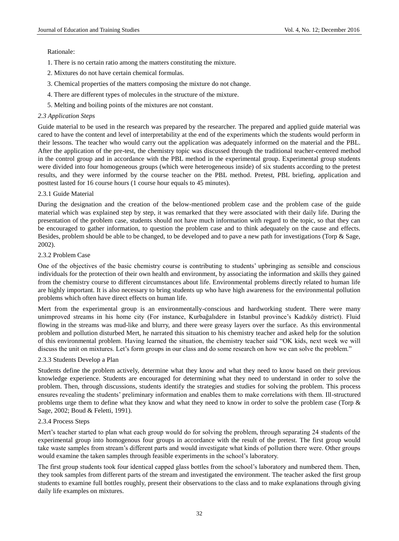## Rationale:

- 1. There is no certain ratio among the matters constituting the mixture.
- 2. Mixtures do not have certain chemical formulas.
- 3. Chemical properties of the matters composing the mixture do not change.
- 4. There are different types of molecules in the structure of the mixture.
- 5. Melting and boiling points of the mixtures are not constant.

## *2.3 Application Steps*

Guide material to be used in the research was prepared by the researcher. The prepared and applied guide material was cared to have the content and level of interpretability at the end of the experiments which the students would perform in their lessons. The teacher who would carry out the application was adequately informed on the material and the PBL. After the application of the pre-test, the chemistry topic was discussed through the traditional teacher-centered method in the control group and in accordance with the PBL method in the experimental group. Experimental group students were divided into four homogeneous groups (which were heterogeneous inside) of six students according to the pretest results, and they were informed by the course teacher on the PBL method. Pretest, PBL briefing, application and posttest lasted for 16 course hours (1 course hour equals to 45 minutes).

## 2.3.1 Guide Material

During the designation and the creation of the below-mentioned problem case and the problem case of the guide material which was explained step by step, it was remarked that they were associated with their daily life. During the presentation of the problem case, students should not have much information with regard to the topic, so that they can be encouraged to gather information, to question the problem case and to think adequately on the cause and effects. Besides, problem should be able to be changed, to be developed and to pave a new path for investigations (Torp & Sage, 2002).

## 2.3.2 Problem Case

One of the objectives of the basic chemistry course is contributing to students' upbringing as sensible and conscious individuals for the protection of their own health and environment, by associating the information and skills they gained from the chemistry course to different circumstances about life. Environmental problems directly related to human life are highly important. It is also necessary to bring students up who have high awareness for the environmental pollution problems which often have direct effects on human life.

Mert from the experimental group is an environmentally-conscious and hardworking student. There were many unimproved streams in his home city (For instance, Kurbağalıdere in Istanbul province's Kadıköy district). Fluid flowing in the streams was mud-like and blurry, and there were greasy layers over the surface. As this environmental problem and pollution disturbed Mert, he narrated this situation to his chemistry teacher and asked help for the solution of this environmental problem. Having learned the situation, the chemistry teacher said "OK kids, next week we will discuss the unit on mixtures. Let's form groups in our class and do some research on how we can solve the problem."

## 2.3.3 Students Develop a Plan

Students define the problem actively, determine what they know and what they need to know based on their previous knowledge experience. Students are encouraged for determining what they need to understand in order to solve the problem. Then, through discussions, students identify the strategies and studies for solving the problem. This process ensures revealing the students' preliminary information and enables them to make correlations with them. Ill-structured problems urge them to define what they know and what they need to know in order to solve the problem case (Torp & Sage, 2002; Boud & Feletti, 1991).

## 2.3.4 Process Steps

Mert's teacher started to plan what each group would do for solving the problem, through separating 24 students of the experimental group into homogenous four groups in accordance with the result of the pretest. The first group would take waste samples from stream's different parts and would investigate what kinds of pollution there were. Other groups would examine the taken samples through feasible experiments in the school's laboratory.

The first group students took four identical capped glass bottles from the school's laboratory and numbered them. Then, they took samples from different parts of the stream and investigated the environment. The teacher asked the first group students to examine full bottles roughly, present their observations to the class and to make explanations through giving daily life examples on mixtures.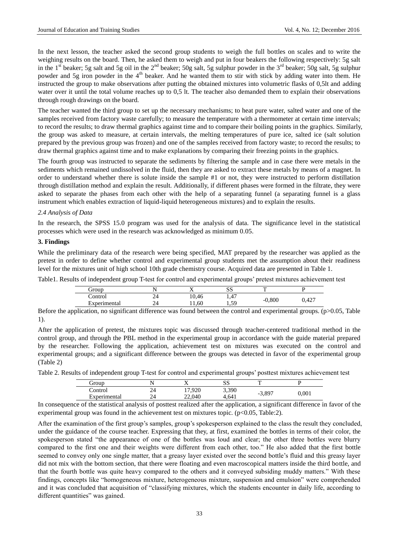In the next lesson, the teacher asked the second group students to weigh the full bottles on scales and to write the weighing results on the board. Then, he asked them to weigh and put in four beakers the following respectively: 5g salt in the 1<sup>st</sup> beaker; 5g salt and 5g oil in the 2<sup>nd</sup> beaker; 50g salt, 5g sulphur powder in the 3<sup>rd</sup> beaker; 50g salt, 5g sulphur powder and 5g iron powder in the 4<sup>th</sup> beaker. And he wanted them to stir with stick by adding water into them. He instructed the group to make observations after putting the obtained mixtures into volumetric flasks of 0,5lt and adding water over it until the total volume reaches up to 0,5 lt. The teacher also demanded them to explain their observations through rough drawings on the board.

The teacher wanted the third group to set up the necessary mechanisms; to heat pure water, salted water and one of the samples received from factory waste carefully; to measure the temperature with a thermometer at certain time intervals; to record the results; to draw thermal graphics against time and to compare their boiling points in the graphics. Similarly, the group was asked to measure, at certain intervals, the melting temperatures of pure ice, salted ice (salt solution prepared by the previous group was frozen) and one of the samples received from factory waste; to record the results; to draw thermal graphics against time and to make explanations by comparing their freezing points in the graphics.

The fourth group was instructed to separate the sediments by filtering the sample and in case there were metals in the sediments which remained undissolved in the fluid, then they are asked to extract these metals by means of a magnet. In order to understand whether there is solute inside the sample #1 or not, they were instructed to perform distillation through distillation method and explain the result. Additionally, if different phases were formed in the filtrate, they were asked to separate the phases from each other with the help of a separating funnel (a separating funnel is a glass instrument which enables extraction of liquid-liquid heterogeneous mixtures) and to explain the results.

#### *2.4 Analysis of Data*

In the research, the SPSS 15.0 program was used for the analysis of data. The significance level in the statistical processes which were used in the research was acknowledged as minimum 0.05.

#### **3. Findings**

While the preliminary data of the research were being specified, MAT prepared by the researcher was applied as the pretest in order to define whether control and experimental group students met the assumption about their readiness level for the mixtures unit of high school 10th grade chemistry course. Acquired data are presented in Table 1.

Table1. Results of independent group T-test for control and experimental groups' pretest mixtures achievement test

| droup             |    | . .   | ນມ         | Ē           |       |
|-------------------|----|-------|------------|-------------|-------|
| Control           | 44 | 10,46 | 1,47       | 0,800<br>-- | 0,427 |
| -<br>Experimental | 24 | 11,60 | 50<br>رسيد |             |       |

Before the application, no significant difference was found between the control and experimental groups. (p>0.05, Table 1).

After the application of pretest, the mixtures topic was discussed through teacher-centered traditional method in the control group, and through the PBL method in the experimental group in accordance with the guide material prepared by the researcher. Following the application, achievement test on mixtures was executed on the control and experimental groups; and a significant difference between the groups was detected in favor of the experimental group (Table 2)

Table 2. Results of independent group T-test for control and experimental groups' posttest mixtures achievement test

| droup        |    |        | n n<br>ມມ | m     |       |
|--------------|----|--------|-----------|-------|-------|
| Control      | 24 | 17,920 | 3,390     | 3,897 | 0,001 |
| Experimental | 24 | 22,040 | 4.641     |       |       |

In consequence of the statistical analysis of posttest realized after the application, a significant difference in favor of the experimental group was found in the achievement test on mixtures topic. (p<0.05, Table:2).

After the examination of the first group's samples, group's spokesperson explained to the class the result they concluded, under the guidance of the course teacher. Expressing that they, at first, examined the bottles in terms of their color, the spokesperson stated "the appearance of one of the bottles was loud and clear; the other three bottles were blurry compared to the first one and their weights were different from each other, too." He also added that the first bottle seemed to convey only one single matter, that a greasy layer existed over the second bottle's fluid and this greasy layer did not mix with the bottom section, that there were floating and even macroscopical matters inside the third bottle, and that the fourth bottle was quite heavy compared to the others and it conveyed subsiding muddy matters." With these findings, concepts like "homogeneous mixture, heterogeneous mixture, suspension and emulsion" were comprehended and it was concluded that acquisition of "classifying mixtures, which the students encounter in daily life, according to different quantities" was gained.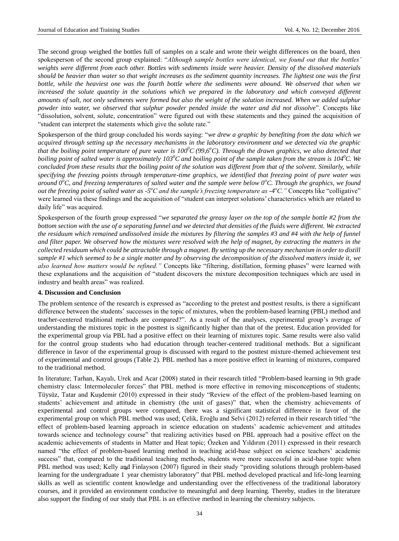The second group weighed the bottles full of samples on a scale and wrote their weight differences on the board, then spokesperson of the second group explained: "*Although sample bottles were identical, we found out that the bottles' weights were different from each other. Bottles with sediments inside were heavier. Density of the dissolved materials should be heavier than water so that weight increases as the sediment quantity increases. The lightest one was the first bottle, while the heaviest one was the fourth bottle where the sediments were abound. We observed that when we increased the solute quantity in the solutions which we prepared in the laboratory and which conveyed different amounts of salt, not only sediments were formed but also the weight of the solution increased. When we added sulphur powder into water, we observed that sulphur powder pended inside the water and did not dissolve*". Concepts like "dissolution, solvent, solute, concentration" were figured out with these statements and they gained the acquisition of "student can interpret the statements which give the solute rate."

Spokesperson of the third group concluded his words saying: "*we drew a graphic by benefiting from the data which we acquired through setting up the necessary mechanisms in the laboratory environment and we detected via the graphic that the boiling point temperature of pure water is*  $100^{\circ}$ *C (99,6<sup>o</sup>C). Through the drawn graphics, we also detected that boiling point of salted water is approximately 103<sup>0</sup>C and boiling point of the sample taken from the stream is 104<sup>0</sup>C. We concluded from these results that the boiling point of the solution was different from that of the solvent. Similarly, while specifying the freezing points through temperature-time graphics, we identified that freezing point of pure water was around 0<sup>o</sup>C, and freezing temperatures of salted water and the sample were below 0<sup>o</sup>C. Through the graphics, we found out the freezing point of salted water as -5<sup>o</sup>C and the sample's freezing temperature as -4<sup>o</sup>C." Concepts like "colligative"* were learned via these findings and the acquisition of "student can interpret solutions' characteristics which are related to daily life" was acquired.

Spokesperson of the fourth group expressed "*we separated the greasy layer on the top of the sample bottle #2 from the bottom section with the use of a separating funnel and we detected that densities of the fluids were different. We extracted the residuum which remained undissolved inside the mixtures by filtering the samples #3 and #4 with the help of funnel and filter paper. We observed how the mixtures were resolved with the help of magnet, by extracting the matters in the collected residuum which could be attractable through a magnet. By setting up the necessary mechanism in order to distill sample #1 which seemed to be a single matter and by observing the decomposition of the dissolved matters inside it, we also learned how matters would be refined."* Concepts like "filtering, distillation, forming phases" were learned with these explanations and the acquisition of "student discovers the mixture decomposition techniques which are used in industry and health areas" was realized.

#### **4. Discussion and Conclusion**

The problem sentence of the research is expressed as "according to the pretest and posttest results, is there a significant difference between the students' successes in the topic of mixtures, when the problem-based learning (PBL) method and teacher-centered traditional methods are compared?". As a result of the analyses, experimental group's average of understanding the mixtures topic in the posttest is significantly higher than that of the pretest. Education provided for the experimental group via PBL had a positive effect on their learning of mixtures topic. Same results were also valid for the control group students who had education through teacher-centered traditional methods. But a significant difference in favor of the experimental group is discussed with regard to the posttest mixture-themed achievement test of experimental and control groups (Table 2). PBL method has a more positive effect in learning of mixtures, compared to the traditional method.

In literature; Tarhan, Kayalı, Urek and Acar (2008) stated in their research titled "Problem-based learning in 9th grade chemistry class: Intermoleculer forces" that PBL method is more effective in removing misconceptions of students; Tüysüz, Tatar and Kuşdemir (2010) expressed in their study "Review of the effect of the problem-based learning on students' achievement and attitude in chemistry (the unit of gases)" that, when the chemistry achievements of experimental and control groups were compared, there was a significant statistical difference in favor of the experimental group on which PBL method was used; Çelik, Eroğlu and Selvi (2012) referred in their research titled "the effect of problem-based learning approach in science education on students' academic achievement and attitudes towards science and technology course" that realizing activities based on PBL approach had a positive effect on the academic achievements of students in Matter and Heat topic; Özeken and Yıldırım (2011) expressed in their research named "the effect of problem-based learning method in teaching acid-base subject on science teachers' academic success" that, compared to the traditional teaching methods, students were more successful in acid-base topic when PBL method was used; Kelly and Finlayson (2007) figured in their study "providing solutions through problem-based learning for the undergraduate 1 year chemistry laboratory" that PBL method developed practical and life-long learning skills as well as scientific content knowledge and understanding over the effectiveness of the traditional laboratory courses, and it provided an environment conducive to meaningful and deep learning. Thereby, studies in the literature also support the finding of our study that PBL is an effective method in learning the chemistry subjects.